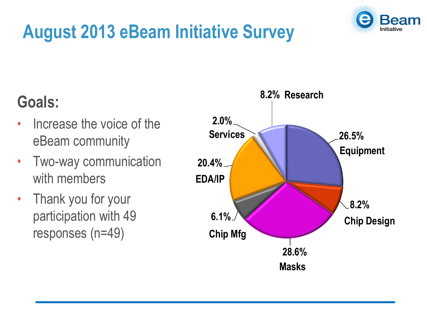## **August 2013 eBeam Initiative Survey**

#### **Goals:**

- Increase the voice of the eBeam community
- Two-way communication with members
- Thank you for your participation with 49 responses (n=49)



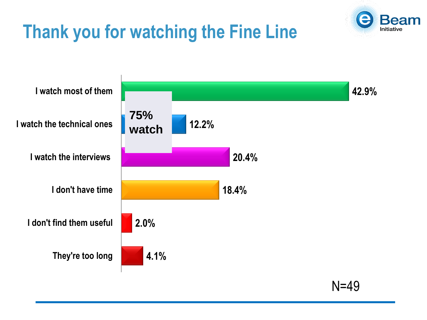

# **Thank you for watching the Fine Line**

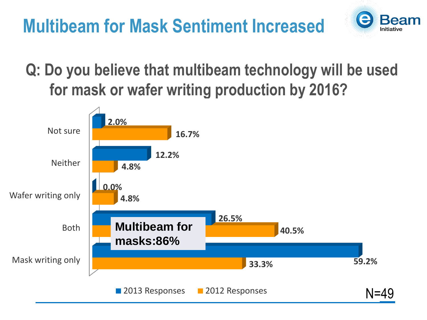### **Multibeam for Mask Sentiment Increased**



#### **Q: Do you believe that multibeam technology will be used for mask or wafer writing production by 2016?**

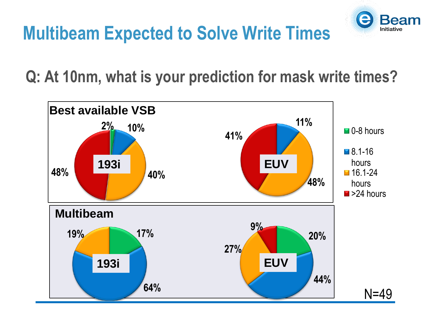

# **Multibeam Expected to Solve Write Times**

**Q: At 10nm, what is your prediction for mask write times?**

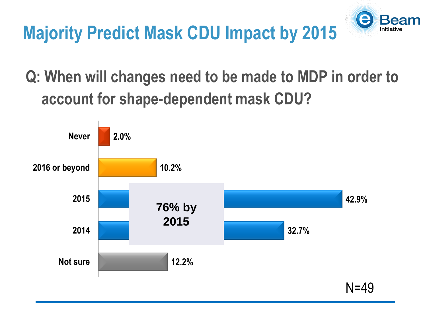

# **Majority Predict Mask CDU Impact by 2015**

**Q: When will changes need to be made to MDP in order to account for shape-dependent mask CDU?**

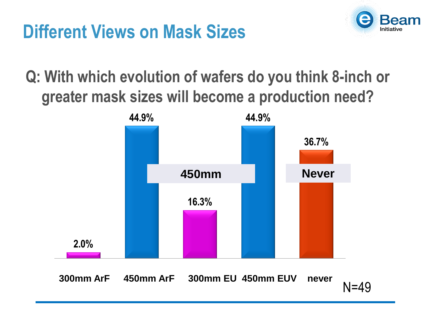### **Different Views on Mask Sizes**



**Q: With which evolution of wafers do you think 8-inch or greater mask sizes will become a production need?**

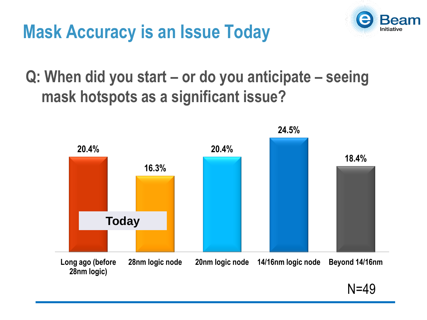#### **Mask Accuracy is an Issue Today**



#### **Q: When did you start – or do you anticipate – seeing mask hotspots as a significant issue?**



N=49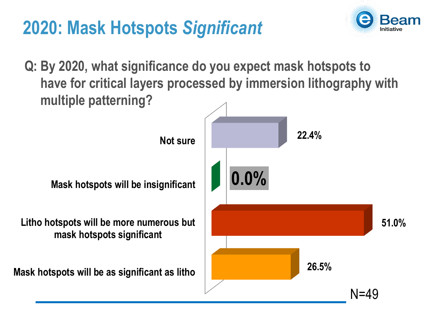### **2020: Mask Hotspots** *Significant*



**Q: By 2020, what significance do you expect mask hotspots to have for critical layers processed by immersion lithography with multiple patterning?**

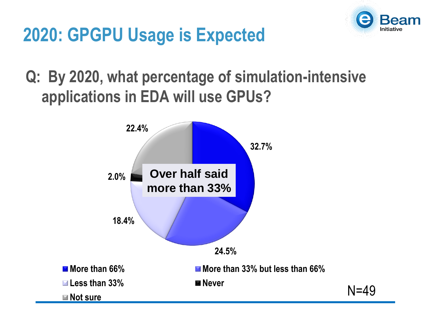

### **2020: GPGPU Usage is Expected**

**Q: By 2020, what percentage of simulation-intensive applications in EDA will use GPUs?**

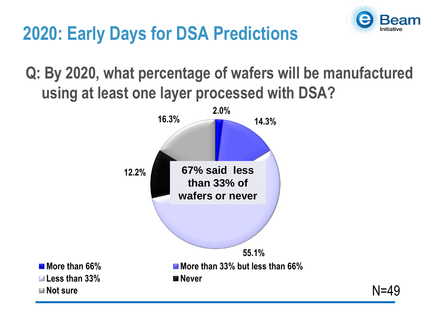

# **2020: Early Days for DSA Predictions**

**Q: By 2020, what percentage of wafers will be manufactured using at least one layer processed with DSA?**



 $N = 49$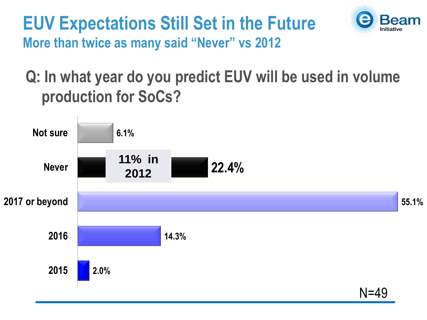**EUV Expectations Still Set in the Future More than twice as many said "Never" vs 2012**



#### **Q: In what year do you predict EUV will be used in volume production for SoCs?**